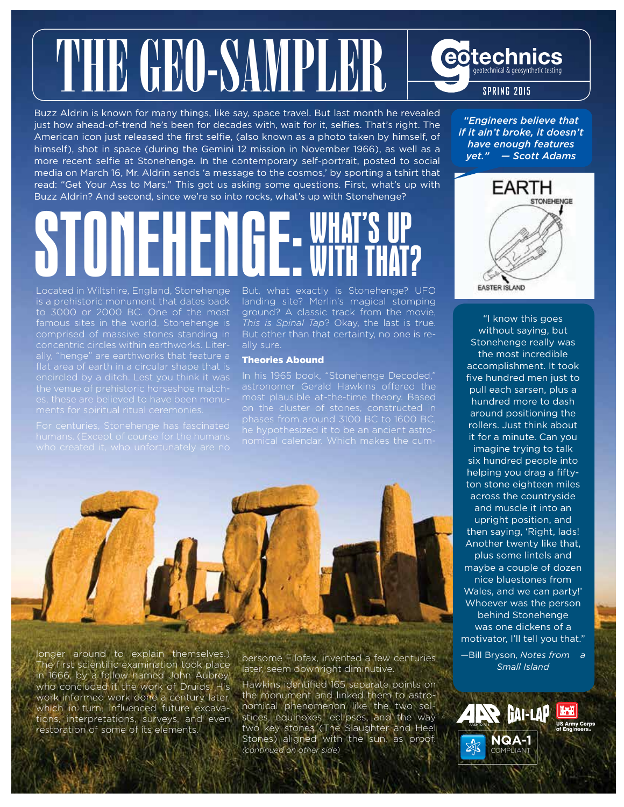# THE GEO-SAMPLER

Buzz Aldrin is known for many things, like say, space travel. But last month he revealed just how ahead-of-trend he's been for decades with, wait for it, selfies. That's right. The American icon just released the first selfie, (also known as a photo taken by himself, of himself), shot in space (during the Gemini 12 mission in November 1966), as well as a more recent selfie at Stonehenge. In the contemporary self-portrait, posted to social media on March 16, Mr. Aldrin sends 'a message to the cosmos,' by sporting a tshirt that read: "Get Your Ass to Mars." This got us asking some questions. First, what's up with Buzz Aldrin? And second, since we're so into rocks, what's up with Stonehenge?

## ilani WITH THAT?

Located in Wiltshire, England, Stonehenge is a prehistoric monument that dates back to 3000 or 2000 BC. One of the most famous sites in the world, Stonehenge is comprised of massive stones standing in

But, what exactly is Stonehenge? UFO landing site? Merlin's magical stomping ground? A classic track from the movie, *This is Spinal Tap*? Okay, the last is true. But other than that certainty, no one is really sure.

#### Theories Abound

In his 1965 book, "Stonehenge Decoded," most plausible at-the-time theory. Based phases from around 3100 BC to 1600 BC,



longer around to explain themselves.) The first scientific examination took place in 1666, by a fellow named John Aubrey, who concluded it the work of Druids. His work informed work done a century later, which in turn, influenced future excavations, interpretations, surveys, and even restoration of some of its elements.

bersome Filofax, invented a few centuries later, seem downright diminutive.

Hawkins identified 165 separate points on the monument and linked them to astronomical phenomenon like the two solstices, equinoxes, eclipses, and the way two key stones (The Slaughter and Heel Stones) aligned with the sun, as proof. *(continued on other side)* 

*"Engineers believe that if it ain't broke, it doesn't have enough features yet." — Scott Adams*

**SPRING 2015**

eotechnics geotechnical & geosynthetic testing



"I know this goes without saying, but Stonehenge really was the most incredible accomplishment. It took five hundred men just to pull each sarsen, plus a hundred more to dash around positioning the rollers. Just think about it for a minute. Can you imagine trying to talk six hundred people into helping you drag a fiftyton stone eighteen miles across the countryside and muscle it into an upright position, and then saying, 'Right, lads! Another twenty like that, plus some lintels and maybe a couple of dozen nice bluestones from Wales, and we can party!' Whoever was the person behind Stonehenge was one dickens of a motivator, I'll tell you that."

—Bill Bryson, *Notes from a Small Island*